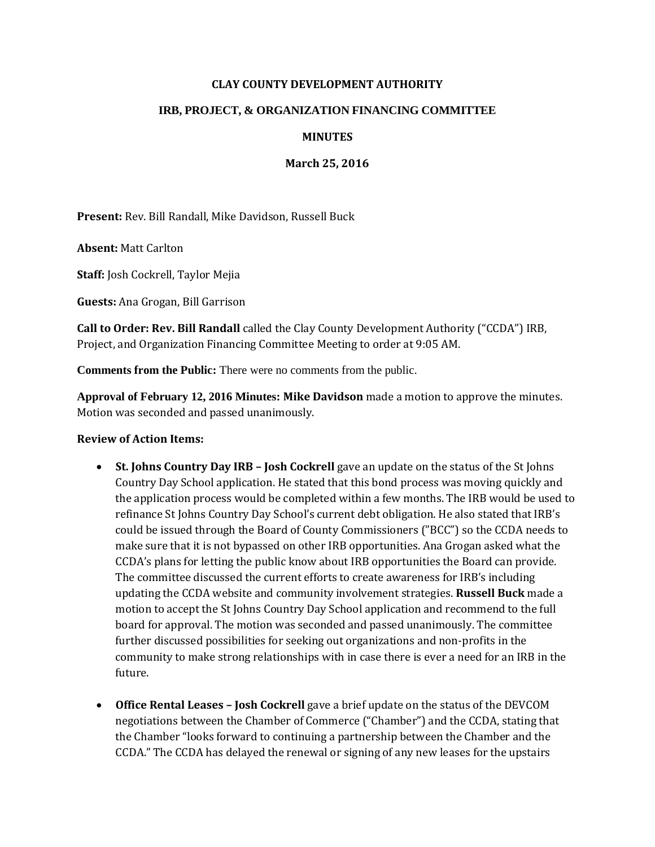## **CLAY COUNTY DEVELOPMENT AUTHORITY**

## **IRB, PROJECT, & ORGANIZATION FINANCING COMMITTEE**

## **MINUTES**

**March 25, 2016**

**Present:** Rev. Bill Randall, Mike Davidson, Russell Buck

**Absent:** Matt Carlton

**Staff:** Josh Cockrell, Taylor Mejia

**Guests:** Ana Grogan, Bill Garrison

**Call to Order: Rev. Bill Randall** called the Clay County Development Authority ("CCDA") IRB, Project, and Organization Financing Committee Meeting to order at 9:05 AM.

**Comments from the Public:** There were no comments from the public.

**Approval of February 12, 2016 Minutes: Mike Davidson** made a motion to approve the minutes. Motion was seconded and passed unanimously.

## **Review of Action Items:**

- St. **Johns Country Day IRB Josh Cockrell** gave an update on the status of the St Johns Country Day School application. He stated that this bond process was moving quickly and the application process would be completed within a few months. The IRB would be used to refinance St Johns Country Day School's current debt obligation. He also stated that IRB's could be issued through the Board of County Commissioners ("BCC") so the CCDA needs to make sure that it is not bypassed on other IRB opportunities. Ana Grogan asked what the CCDA's plans for letting the public know about IRB opportunities the Board can provide. The committee discussed the current efforts to create awareness for IRB's including updating the CCDA website and community involvement strategies. **Russell Buck** made a motion to accept the St Johns Country Day School application and recommend to the full board for approval. The motion was seconded and passed unanimously. The committee further discussed possibilities for seeking out organizations and non-profits in the community to make strong relationships with in case there is ever a need for an IRB in the future.
- **Office Rental Leases – Josh Cockrell** gave a brief update on the status of the DEVCOM negotiations between the Chamber of Commerce ("Chamber") and the CCDA, stating that the Chamber "looks forward to continuing a partnership between the Chamber and the CCDA." The CCDA has delayed the renewal or signing of any new leases for the upstairs